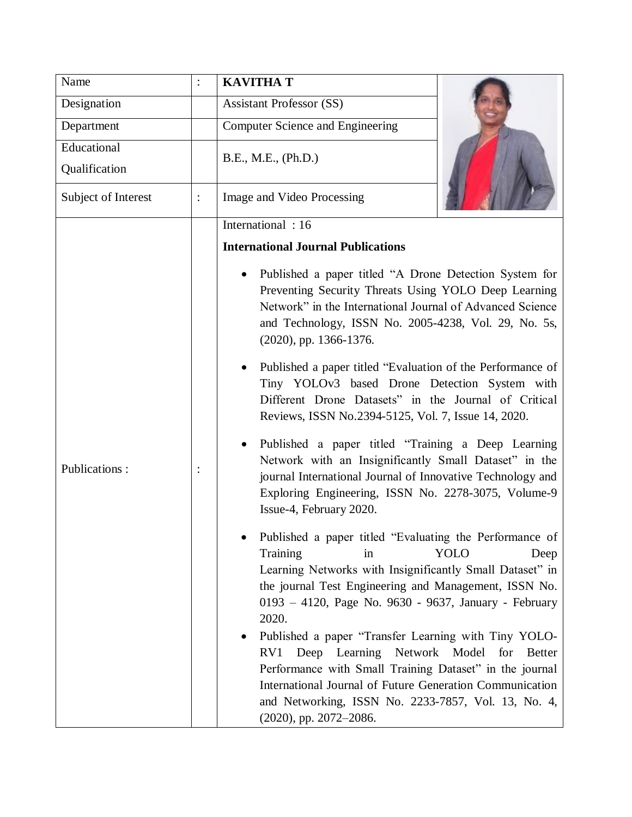| Name                |                | <b>KAVITHA T</b>                                                                                                                                                                                                                                                                                                                                                                                                                                                                                                                                                                                                                                                            |               |
|---------------------|----------------|-----------------------------------------------------------------------------------------------------------------------------------------------------------------------------------------------------------------------------------------------------------------------------------------------------------------------------------------------------------------------------------------------------------------------------------------------------------------------------------------------------------------------------------------------------------------------------------------------------------------------------------------------------------------------------|---------------|
| Designation         |                | <b>Assistant Professor (SS)</b>                                                                                                                                                                                                                                                                                                                                                                                                                                                                                                                                                                                                                                             |               |
| Department          |                | Computer Science and Engineering                                                                                                                                                                                                                                                                                                                                                                                                                                                                                                                                                                                                                                            |               |
| Educational         |                | B.E., M.E., (Ph.D.)                                                                                                                                                                                                                                                                                                                                                                                                                                                                                                                                                                                                                                                         |               |
| Qualification       |                |                                                                                                                                                                                                                                                                                                                                                                                                                                                                                                                                                                                                                                                                             |               |
| Subject of Interest | $\ddot{\cdot}$ | Image and Video Processing                                                                                                                                                                                                                                                                                                                                                                                                                                                                                                                                                                                                                                                  |               |
|                     |                | International: 16                                                                                                                                                                                                                                                                                                                                                                                                                                                                                                                                                                                                                                                           |               |
| Publications:       |                | <b>International Journal Publications</b>                                                                                                                                                                                                                                                                                                                                                                                                                                                                                                                                                                                                                                   |               |
|                     |                | Published a paper titled "A Drone Detection System for<br>Preventing Security Threats Using YOLO Deep Learning<br>Network" in the International Journal of Advanced Science<br>and Technology, ISSN No. 2005-4238, Vol. 29, No. 5s,<br>$(2020)$ , pp. 1366-1376.<br>Published a paper titled "Evaluation of the Performance of<br>Tiny YOLOv3 based Drone Detection System with<br>Different Drone Datasets" in the Journal of Critical<br>Reviews, ISSN No.2394-5125, Vol. 7, Issue 14, 2020.<br>Published a paper titled "Training a Deep Learning<br>Network with an Insignificantly Small Dataset" in the<br>journal International Journal of Innovative Technology and |               |
|                     |                | Exploring Engineering, ISSN No. 2278-3075, Volume-9<br>Issue-4, February 2020.<br>Published a paper titled "Evaluating the Performance of<br>Training<br>in<br>Learning Networks with Insignificantly Small Dataset" in                                                                                                                                                                                                                                                                                                                                                                                                                                                     | YOLO<br>Deep  |
|                     |                | the journal Test Engineering and Management, ISSN No.<br>0193 - 4120, Page No. 9630 - 9637, January - February<br>2020.                                                                                                                                                                                                                                                                                                                                                                                                                                                                                                                                                     |               |
|                     |                | Published a paper "Transfer Learning with Tiny YOLO-<br>Deep Learning Network Model for<br>RV1<br>Performance with Small Training Dataset" in the journal<br>International Journal of Future Generation Communication<br>and Networking, ISSN No. 2233-7857, Vol. 13, No. 4,<br>(2020), pp. 2072-2086.                                                                                                                                                                                                                                                                                                                                                                      | <b>Better</b> |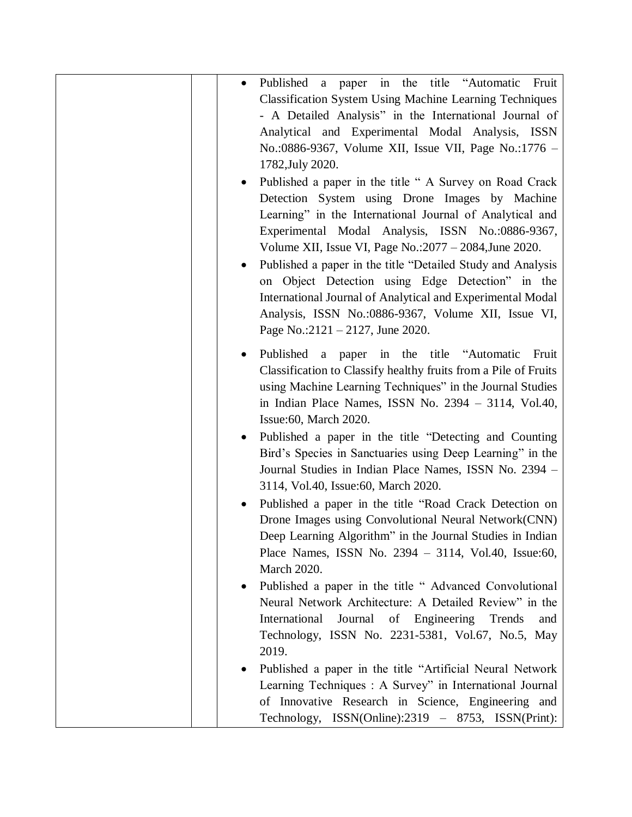| a paper in the title "Automatic<br>Fruit<br>Published<br>٠<br><b>Classification System Using Machine Learning Techniques</b><br>- A Detailed Analysis" in the International Journal of<br>Analytical and Experimental Modal Analysis, ISSN<br>No.:0886-9367, Volume XII, Issue VII, Page No.:1776 -<br>1782, July 2020.<br>Published a paper in the title "A Survey on Road Crack<br>Detection System using Drone Images by Machine<br>Learning" in the International Journal of Analytical and<br>Experimental Modal Analysis, ISSN No.:0886-9367,<br>Volume XII, Issue VI, Page No.: $2077 - 2084$ , June 2020.<br>Published a paper in the title "Detailed Study and Analysis<br>on Object Detection using Edge Detection" in the<br>International Journal of Analytical and Experimental Modal<br>Analysis, ISSN No.:0886-9367, Volume XII, Issue VI,<br>Page No.:2121 - 2127, June 2020. |
|-----------------------------------------------------------------------------------------------------------------------------------------------------------------------------------------------------------------------------------------------------------------------------------------------------------------------------------------------------------------------------------------------------------------------------------------------------------------------------------------------------------------------------------------------------------------------------------------------------------------------------------------------------------------------------------------------------------------------------------------------------------------------------------------------------------------------------------------------------------------------------------------------|
| Published a paper in the title "Automatic<br>Fruit<br>Classification to Classify healthy fruits from a Pile of Fruits<br>using Machine Learning Techniques" in the Journal Studies<br>in Indian Place Names, ISSN No. 2394 - 3114, Vol.40,<br>Issue: 60, March 2020.                                                                                                                                                                                                                                                                                                                                                                                                                                                                                                                                                                                                                          |
| Published a paper in the title "Detecting and Counting"<br>Bird's Species in Sanctuaries using Deep Learning" in the<br>Journal Studies in Indian Place Names, ISSN No. 2394 -<br>3114, Vol.40, Issue:60, March 2020.                                                                                                                                                                                                                                                                                                                                                                                                                                                                                                                                                                                                                                                                         |
| Published a paper in the title "Road Crack Detection on<br>Drone Images using Convolutional Neural Network(CNN)<br>Deep Learning Algorithm" in the Journal Studies in Indian<br>Place Names, ISSN No. $2394 - 3114$ , Vol.40, Issue:60,<br><b>March 2020.</b>                                                                                                                                                                                                                                                                                                                                                                                                                                                                                                                                                                                                                                 |
| Published a paper in the title "Advanced Convolutional<br>Neural Network Architecture: A Detailed Review" in the<br>International<br>Journal of Engineering Trends<br>and<br>Technology, ISSN No. 2231-5381, Vol.67, No.5, May<br>2019.                                                                                                                                                                                                                                                                                                                                                                                                                                                                                                                                                                                                                                                       |
| Published a paper in the title "Artificial Neural Network"<br>Learning Techniques : A Survey" in International Journal<br>of Innovative Research in Science, Engineering and<br>Technology, ISSN(Online):2319 – 8753, ISSN(Print):                                                                                                                                                                                                                                                                                                                                                                                                                                                                                                                                                                                                                                                            |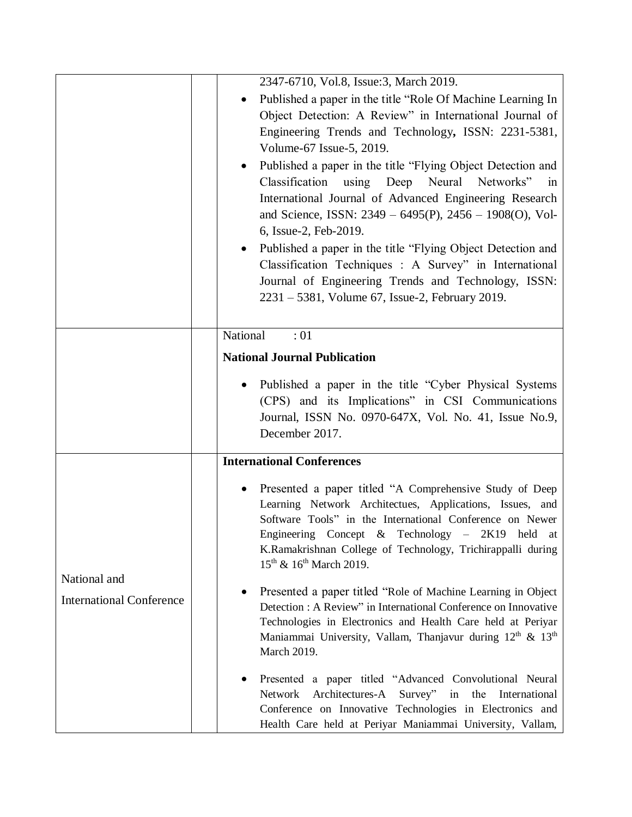|                                                 | 2347-6710, Vol.8, Issue:3, March 2019.                                                                                                                                                                                                                                                                                                                                                                                                                                                                                                       |  |
|-------------------------------------------------|----------------------------------------------------------------------------------------------------------------------------------------------------------------------------------------------------------------------------------------------------------------------------------------------------------------------------------------------------------------------------------------------------------------------------------------------------------------------------------------------------------------------------------------------|--|
|                                                 | Published a paper in the title "Role Of Machine Learning In<br>Object Detection: A Review" in International Journal of<br>Engineering Trends and Technology, ISSN: 2231-5381,<br>Volume-67 Issue-5, 2019.<br>Published a paper in the title "Flying Object Detection and<br>Classification using Deep Neural<br>Networks"<br>in<br>International Journal of Advanced Engineering Research<br>and Science, ISSN: 2349 - 6495(P), 2456 - 1908(O), Vol-<br>6, Issue-2, Feb-2019.<br>Published a paper in the title "Flying Object Detection and |  |
|                                                 | Classification Techniques : A Survey" in International<br>Journal of Engineering Trends and Technology, ISSN:<br>$2231 - 5381$ , Volume 67, Issue-2, February 2019.                                                                                                                                                                                                                                                                                                                                                                          |  |
|                                                 | National<br>:01                                                                                                                                                                                                                                                                                                                                                                                                                                                                                                                              |  |
|                                                 | <b>National Journal Publication</b>                                                                                                                                                                                                                                                                                                                                                                                                                                                                                                          |  |
|                                                 | Published a paper in the title "Cyber Physical Systems"<br>(CPS) and its Implications" in CSI Communications<br>Journal, ISSN No. 0970-647X, Vol. No. 41, Issue No.9,<br>December 2017.                                                                                                                                                                                                                                                                                                                                                      |  |
|                                                 | <b>International Conferences</b>                                                                                                                                                                                                                                                                                                                                                                                                                                                                                                             |  |
| National and<br><b>International Conference</b> | Presented a paper titled "A Comprehensive Study of Deep<br>Learning Network Architectues, Applications, Issues, and<br>Software Tools" in the International Conference on Newer<br>Engineering Concept & Technology $-$ 2K19 held at<br>K.Ramakrishnan College of Technology, Trichirappalli during<br>$15^{th}$ & $16^{th}$ March 2019.                                                                                                                                                                                                     |  |
|                                                 | Presented a paper titled "Role of Machine Learning in Object<br>Detection : A Review" in International Conference on Innovative<br>Technologies in Electronics and Health Care held at Periyar<br>Maniammai University, Vallam, Thanjavur during 12 <sup>th</sup> & 13 <sup>th</sup><br>March 2019.                                                                                                                                                                                                                                          |  |
|                                                 | Presented a paper titled "Advanced Convolutional Neural<br>Architectures-A<br>Survey" in the<br>Network<br>International<br>Conference on Innovative Technologies in Electronics and<br>Health Care held at Periyar Maniammai University, Vallam,                                                                                                                                                                                                                                                                                            |  |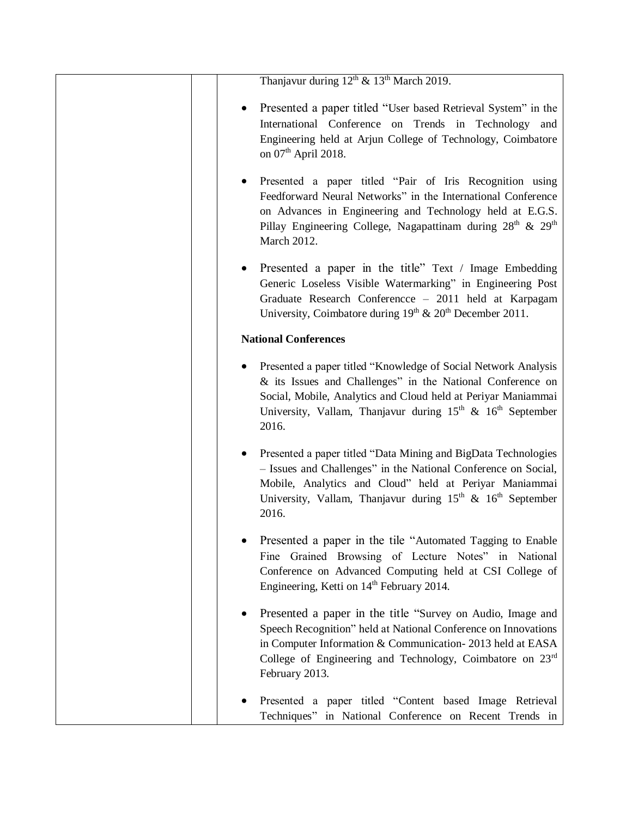|                             | Thanjavur during $12^{th}$ & $13^{th}$ March 2019.                                                                                                                                                                                                                                        |
|-----------------------------|-------------------------------------------------------------------------------------------------------------------------------------------------------------------------------------------------------------------------------------------------------------------------------------------|
|                             | Presented a paper titled "User based Retrieval System" in the<br>International Conference on Trends in Technology and<br>Engineering held at Arjun College of Technology, Coimbatore<br>on $07th$ April 2018.                                                                             |
|                             | Presented a paper titled "Pair of Iris Recognition using<br>Feedforward Neural Networks" in the International Conference<br>on Advances in Engineering and Technology held at E.G.S.<br>Pillay Engineering College, Nagapattinam during $28th$ & $29th$<br>March 2012.                    |
|                             | Presented a paper in the title" Text / Image Embedding<br>$\bullet$<br>Generic Loseless Visible Watermarking" in Engineering Post<br>Graduate Research Conferencce - 2011 held at Karpagam<br>University, Coimbatore during $19th$ & $20th$ December 2011.                                |
| <b>National Conferences</b> |                                                                                                                                                                                                                                                                                           |
|                             | Presented a paper titled "Knowledge of Social Network Analysis<br>& its Issues and Challenges" in the National Conference on<br>Social, Mobile, Analytics and Cloud held at Periyar Maniammai<br>University, Vallam, Thanjavur during $15th$ & $16th$ September<br>2016.                  |
|                             | Presented a paper titled "Data Mining and BigData Technologies<br>- Issues and Challenges" in the National Conference on Social,<br>Mobile, Analytics and Cloud" held at Periyar Maniammai<br>University, Vallam, Thanjavur during 15 <sup>th</sup> & 16 <sup>th</sup> September<br>2016. |
|                             | Presented a paper in the tile "Automated Tagging to Enable<br>Fine Grained Browsing of Lecture Notes" in National<br>Conference on Advanced Computing held at CSI College of<br>Engineering, Ketti on 14 <sup>th</sup> February 2014.                                                     |
|                             | Presented a paper in the title "Survey on Audio, Image and<br>Speech Recognition" held at National Conference on Innovations<br>in Computer Information & Communication-2013 held at EASA<br>College of Engineering and Technology, Coimbatore on $23rd$<br>February 2013.                |
|                             | Presented a paper titled "Content based Image Retrieval<br>Techniques" in National Conference on Recent Trends in                                                                                                                                                                         |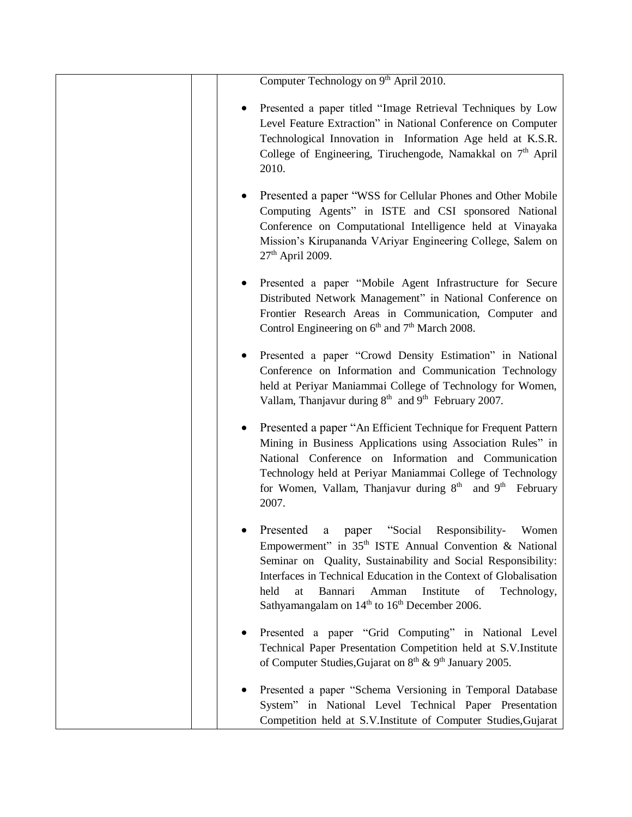| Computer Technology on 9 <sup>th</sup> April 2010.                                                                                                                                                                                                                                                                                                                                                       |
|----------------------------------------------------------------------------------------------------------------------------------------------------------------------------------------------------------------------------------------------------------------------------------------------------------------------------------------------------------------------------------------------------------|
| Presented a paper titled "Image Retrieval Techniques by Low<br>Level Feature Extraction" in National Conference on Computer<br>Technological Innovation in Information Age held at K.S.R.<br>College of Engineering, Tiruchengode, Namakkal on 7 <sup>th</sup> April<br>2010.                                                                                                                            |
| Presented a paper "WSS for Cellular Phones and Other Mobile<br>Computing Agents" in ISTE and CSI sponsored National<br>Conference on Computational Intelligence held at Vinayaka<br>Mission's Kirupananda VAriyar Engineering College, Salem on<br>$27th$ April 2009.                                                                                                                                    |
| Presented a paper "Mobile Agent Infrastructure for Secure<br>Distributed Network Management" in National Conference on<br>Frontier Research Areas in Communication, Computer and<br>Control Engineering on 6 <sup>th</sup> and 7 <sup>th</sup> March 2008.                                                                                                                                               |
| Presented a paper "Crowd Density Estimation" in National<br>Conference on Information and Communication Technology<br>held at Periyar Maniammai College of Technology for Women,<br>Vallam, Thanjavur during 8 <sup>th</sup> and 9 <sup>th</sup> February 2007.                                                                                                                                          |
| Presented a paper "An Efficient Technique for Frequent Pattern<br>Mining in Business Applications using Association Rules" in<br>National Conference on Information and Communication<br>Technology held at Periyar Maniammai College of Technology<br>for Women, Vallam, Thanjavur during 8 <sup>th</sup> and 9 <sup>th</sup> February<br>2007.                                                         |
| Presented a paper "Social Responsibility- Women<br>Empowerment" in 35 <sup>th</sup> ISTE Annual Convention & National<br>Seminar on Quality, Sustainability and Social Responsibility:<br>Interfaces in Technical Education in the Context of Globalisation<br>held<br>Bannari<br>Amman<br>Institute<br>of<br>Technology,<br>at<br>Sathyamangalam on 14 <sup>th</sup> to 16 <sup>th</sup> December 2006. |
| Presented a paper "Grid Computing" in National Level<br>Technical Paper Presentation Competition held at S.V.Institute<br>of Computer Studies, Gujarat on 8 <sup>th</sup> & 9 <sup>th</sup> January 2005.                                                                                                                                                                                                |
| Presented a paper "Schema Versioning in Temporal Database<br>System" in National Level Technical Paper Presentation<br>Competition held at S.V.Institute of Computer Studies, Gujarat                                                                                                                                                                                                                    |